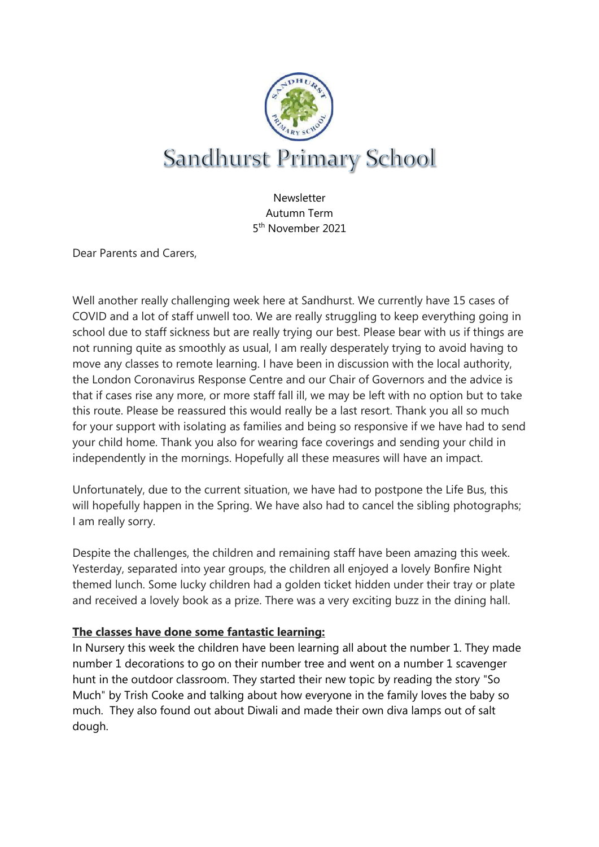

Newsletter Autumn Term 5<sup>th</sup> November 2021

Dear Parents and Carers,

Well another really challenging week here at Sandhurst. We currently have 15 cases of COVID and a lot of staff unwell too. We are really struggling to keep everything going in school due to staff sickness but are really trying our best. Please bear with us if things are not running quite as smoothly as usual, I am really desperately trying to avoid having to move any classes to remote learning. I have been in discussion with the local authority, the London Coronavirus Response Centre and our Chair of Governors and the advice is that if cases rise any more, or more staff fall ill, we may be left with no option but to take this route. Please be reassured this would really be a last resort. Thank you all so much for your support with isolating as families and being so responsive if we have had to send your child home. Thank you also for wearing face coverings and sending your child in independently in the mornings. Hopefully all these measures will have an impact.

Unfortunately, due to the current situation, we have had to postpone the Life Bus, this will hopefully happen in the Spring. We have also had to cancel the sibling photographs; I am really sorry.

Despite the challenges, the children and remaining staff have been amazing this week. Yesterday, separated into year groups, the children all enjoyed a lovely Bonfire Night themed lunch. Some lucky children had a golden ticket hidden under their tray or plate and received a lovely book as a prize. There was a very exciting buzz in the dining hall.

#### **The classes have done some fantastic learning:**

In Nursery this week the children have been learning all about the number 1. They made number 1 decorations to go on their number tree and went on a number 1 scavenger hunt in the outdoor classroom. They started their new topic by reading the story "So Much" by Trish Cooke and talking about how everyone in the family loves the baby so much. They also found out about Diwali and made their own diva lamps out of salt dough.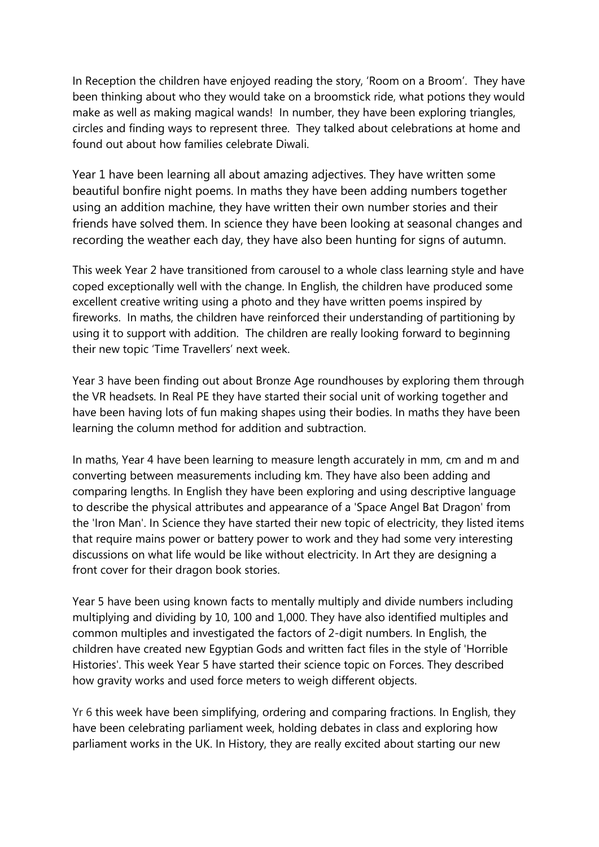In Reception the children have enjoyed reading the story, 'Room on a Broom'. They have been thinking about who they would take on a broomstick ride, what potions they would make as well as making magical wands! In number, they have been exploring triangles, circles and finding ways to represent three. They talked about celebrations at home and found out about how families celebrate Diwali.

Year 1 have been learning all about amazing adjectives. They have written some beautiful bonfire night poems. In maths they have been adding numbers together using an addition machine, they have written their own number stories and their friends have solved them. In science they have been looking at seasonal changes and recording the weather each day, they have also been hunting for signs of autumn.

This week Year 2 have transitioned from carousel to a whole class learning style and have coped exceptionally well with the change. In English, the children have produced some excellent creative writing using a photo and they have written poems inspired by fireworks. In maths, the children have reinforced their understanding of partitioning by using it to support with addition. The children are really looking forward to beginning their new topic 'Time Travellers' next week.

Year 3 have been finding out about Bronze Age roundhouses by exploring them through the VR headsets. In Real PE they have started their social unit of working together and have been having lots of fun making shapes using their bodies. In maths they have been learning the column method for addition and subtraction.

In maths, Year 4 have been learning to measure length accurately in mm, cm and m and converting between measurements including km. They have also been adding and comparing lengths. In English they have been exploring and using descriptive language to describe the physical attributes and appearance of a 'Space Angel Bat Dragon' from the 'Iron Man'. In Science they have started their new topic of electricity, they listed items that require mains power or battery power to work and they had some very interesting discussions on what life would be like without electricity. In Art they are designing a front cover for their dragon book stories.

Year 5 have been using known facts to mentally multiply and divide numbers including multiplying and dividing by 10, 100 and 1,000. They have also identified multiples and common multiples and investigated the factors of 2-digit numbers. In English, the children have created new Egyptian Gods and written fact files in the style of 'Horrible Histories'. This week Year 5 have started their science topic on Forces. They described how gravity works and used force meters to weigh different objects.

Yr 6 this week have been simplifying, ordering and comparing fractions. In English, they have been celebrating parliament week, holding debates in class and exploring how parliament works in the UK. In History, they are really excited about starting our new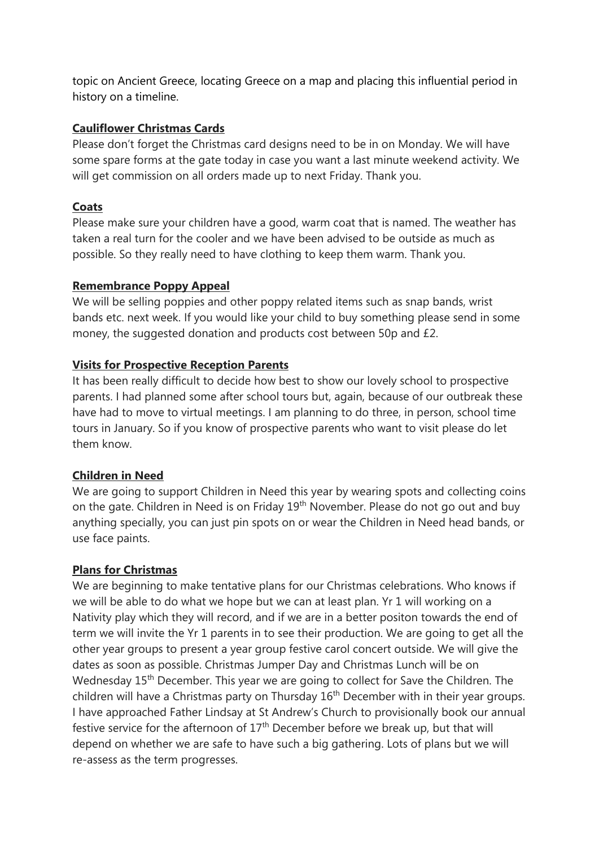topic on Ancient Greece, locating Greece on a map and placing this influential period in history on a timeline.

### **Cauliflower Christmas Cards**

Please don't forget the Christmas card designs need to be in on Monday. We will have some spare forms at the gate today in case you want a last minute weekend activity. We will get commission on all orders made up to next Friday. Thank you.

## **Coats**

Please make sure your children have a good, warm coat that is named. The weather has taken a real turn for the cooler and we have been advised to be outside as much as possible. So they really need to have clothing to keep them warm. Thank you.

## **Remembrance Poppy Appeal**

We will be selling poppies and other poppy related items such as snap bands, wrist bands etc. next week. If you would like your child to buy something please send in some money, the suggested donation and products cost between 50p and £2.

# **Visits for Prospective Reception Parents**

It has been really difficult to decide how best to show our lovely school to prospective parents. I had planned some after school tours but, again, because of our outbreak these have had to move to virtual meetings. I am planning to do three, in person, school time tours in January. So if you know of prospective parents who want to visit please do let them know.

# **Children in Need**

We are going to support Children in Need this year by wearing spots and collecting coins on the gate. Children in Need is on Friday 19<sup>th</sup> November. Please do not go out and buy anything specially, you can just pin spots on or wear the Children in Need head bands, or use face paints.

#### **Plans for Christmas**

We are beginning to make tentative plans for our Christmas celebrations. Who knows if we will be able to do what we hope but we can at least plan. Yr 1 will working on a Nativity play which they will record, and if we are in a better positon towards the end of term we will invite the Yr 1 parents in to see their production. We are going to get all the other year groups to present a year group festive carol concert outside. We will give the dates as soon as possible. Christmas Jumper Day and Christmas Lunch will be on Wednesday 15<sup>th</sup> December. This year we are going to collect for Save the Children. The children will have a Christmas party on Thursday 16<sup>th</sup> December with in their year groups. I have approached Father Lindsay at St Andrew's Church to provisionally book our annual festive service for the afternoon of  $17<sup>th</sup>$  December before we break up, but that will depend on whether we are safe to have such a big gathering. Lots of plans but we will re-assess as the term progresses.